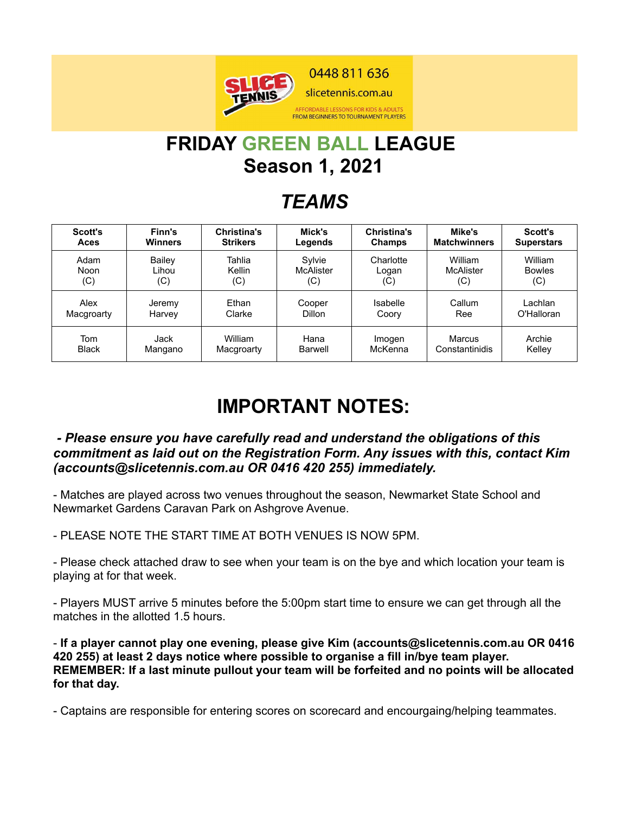

# **FRIDAY GREEN BALL LEAGUE Season 1, 2021**

### *TEAMS*

| <b>Scott's</b> | Finn's         | Christina's     | Mick's           | Christina's | Mike's              | <b>Scott's</b>    |
|----------------|----------------|-----------------|------------------|-------------|---------------------|-------------------|
| Aces           | <b>Winners</b> | <b>Strikers</b> | Legends          | Champs      | <b>Matchwinners</b> | <b>Superstars</b> |
| Adam           | Bailey         | Tahlia          | Sylvie           | Charlotte   | William             | William           |
| Noon           | Lihou          | Kellin          | <b>McAlister</b> | Logan       | <b>McAlister</b>    | <b>Bowles</b>     |
| (C)            | (C)            | (C)             | (C)              | (C)         | (C)                 | (C)               |
| Alex           | Jeremy         | Ethan           | Cooper           | Isabelle    | Callum              | Lachlan           |
| Macgroarty     | Harvey         | Clarke          | <b>Dillon</b>    | Coory       | Ree                 | O'Halloran        |
| Tom            | Jack           | William         | Hana             | Imogen      | Marcus              | Archie            |
| <b>Black</b>   | Mangano        | Macgroarty      | Barwell          | McKenna     | Constantinidis      | Kelley            |

## **IMPORTANT NOTES:**

#### *- Please ensure you have carefully read and understand the obligations of this commitment as laid out on the Registration Form. Any issues with this, contact Kim (accounts@slicetennis.com.au OR 0416 420 255) immediately.*

- Matches are played across two venues throughout the season, Newmarket State School and Newmarket Gardens Caravan Park on Ashgrove Avenue.

- PLEASE NOTE THE START TIME AT BOTH VENUES IS NOW 5PM.

- Please check attached draw to see when your team is on the bye and which location your team is playing at for that week.

- Players MUST arrive 5 minutes before the 5:00pm start time to ensure we can get through all the matches in the allotted 1.5 hours.

- **If a player cannot play one evening, please give Kim (accounts@slicetennis.com.au OR 0416 420 255) at least 2 days notice where possible to organise a fill in/bye team player. REMEMBER: If a last minute pullout your team will be forfeited and no points will be allocated for that day.**

- Captains are responsible for entering scores on scorecard and encourgaing/helping teammates.